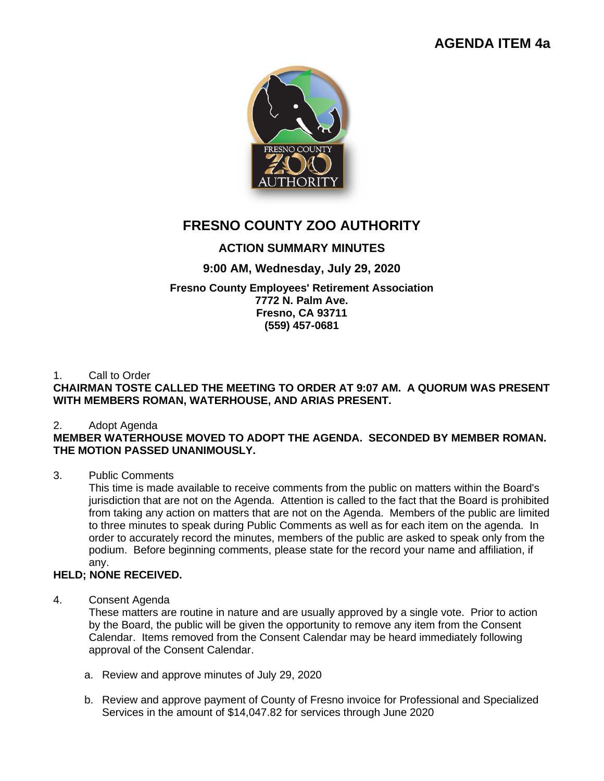## **AGENDA ITEM 4a**



# **FRESNO COUNTY ZOO AUTHORITY**

## **ACTION SUMMARY MINUTES**

## **9:00 AM, Wednesday, July 29, 2020**

#### **Fresno County Employees' Retirement Association 7772 N. Palm Ave. Fresno, CA 93711 (559) 457-0681**

### 1. Call to Order

### **CHAIRMAN TOSTE CALLED THE MEETING TO ORDER AT 9:07 AM. A QUORUM WAS PRESENT WITH MEMBERS ROMAN, WATERHOUSE, AND ARIAS PRESENT.**

#### 2. Adopt Agenda

### **MEMBER WATERHOUSE MOVED TO ADOPT THE AGENDA. SECONDED BY MEMBER ROMAN. THE MOTION PASSED UNANIMOUSLY.**

#### 3. Public Comments

This time is made available to receive comments from the public on matters within the Board's jurisdiction that are not on the Agenda. Attention is called to the fact that the Board is prohibited from taking any action on matters that are not on the Agenda. Members of the public are limited to three minutes to speak during Public Comments as well as for each item on the agenda. In order to accurately record the minutes, members of the public are asked to speak only from the podium. Before beginning comments, please state for the record your name and affiliation, if any.

### **HELD; NONE RECEIVED.**

#### 4. Consent Agenda

These matters are routine in nature and are usually approved by a single vote. Prior to action by the Board, the public will be given the opportunity to remove any item from the Consent Calendar. Items removed from the Consent Calendar may be heard immediately following approval of the Consent Calendar.

- a. Review and approve minutes of July 29, 2020
- b. Review and approve payment of County of Fresno invoice for Professional and Specialized Services in the amount of \$14,047.82 for services through June 2020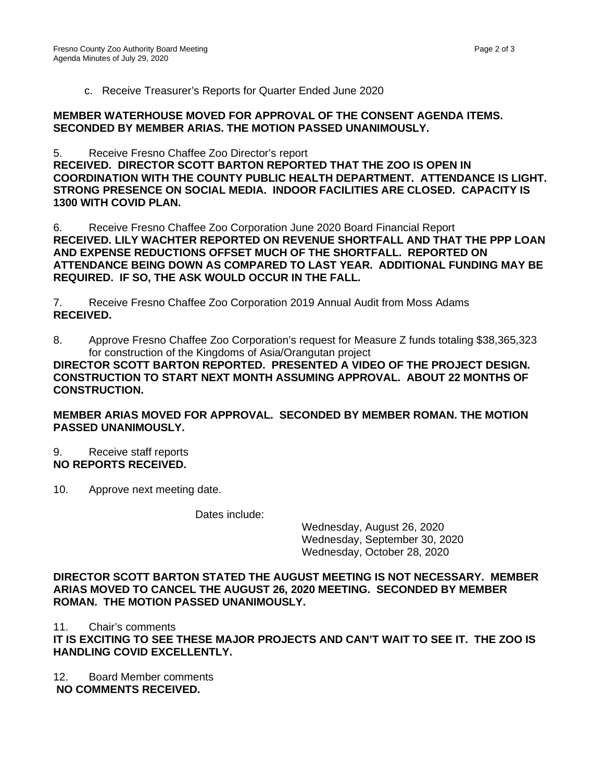c. Receive Treasurer's Reports for Quarter Ended June 2020

#### **MEMBER WATERHOUSE MOVED FOR APPROVAL OF THE CONSENT AGENDA ITEMS. SECONDED BY MEMBER ARIAS. THE MOTION PASSED UNANIMOUSLY.**

5. Receive Fresno Chaffee Zoo Director's report

**RECEIVED. DIRECTOR SCOTT BARTON REPORTED THAT THE ZOO IS OPEN IN COORDINATION WITH THE COUNTY PUBLIC HEALTH DEPARTMENT. ATTENDANCE IS LIGHT. STRONG PRESENCE ON SOCIAL MEDIA. INDOOR FACILITIES ARE CLOSED. CAPACITY IS 1300 WITH COVID PLAN.**

6. Receive Fresno Chaffee Zoo Corporation June 2020 Board Financial Report **RECEIVED. LILY WACHTER REPORTED ON REVENUE SHORTFALL AND THAT THE PPP LOAN AND EXPENSE REDUCTIONS OFFSET MUCH OF THE SHORTFALL. REPORTED ON ATTENDANCE BEING DOWN AS COMPARED TO LAST YEAR. ADDITIONAL FUNDING MAY BE REQUIRED. IF SO, THE ASK WOULD OCCUR IN THE FALL.**

7. Receive Fresno Chaffee Zoo Corporation 2019 Annual Audit from Moss Adams **RECEIVED.**

8. Approve Fresno Chaffee Zoo Corporation's request for Measure Z funds totaling \$38,365,323 for construction of the Kingdoms of Asia/Orangutan project **DIRECTOR SCOTT BARTON REPORTED. PRESENTED A VIDEO OF THE PROJECT DESIGN. CONSTRUCTION TO START NEXT MONTH ASSUMING APPROVAL. ABOUT 22 MONTHS OF CONSTRUCTION.**

**MEMBER ARIAS MOVED FOR APPROVAL. SECONDED BY MEMBER ROMAN. THE MOTION PASSED UNANIMOUSLY.**

9. Receive staff reports **NO REPORTS RECEIVED.**

10. Approve next meeting date.

Dates include:

Wednesday, August 26, 2020 Wednesday, September 30, 2020 Wednesday, October 28, 2020

**DIRECTOR SCOTT BARTON STATED THE AUGUST MEETING IS NOT NECESSARY. MEMBER ARIAS MOVED TO CANCEL THE AUGUST 26, 2020 MEETING. SECONDED BY MEMBER ROMAN. THE MOTION PASSED UNANIMOUSLY.**

11. Chair's comments

**IT IS EXCITING TO SEE THESE MAJOR PROJECTS AND CAN'T WAIT TO SEE IT. THE ZOO IS HANDLING COVID EXCELLENTLY.** 

12. Board Member comments **NO COMMENTS RECEIVED.**